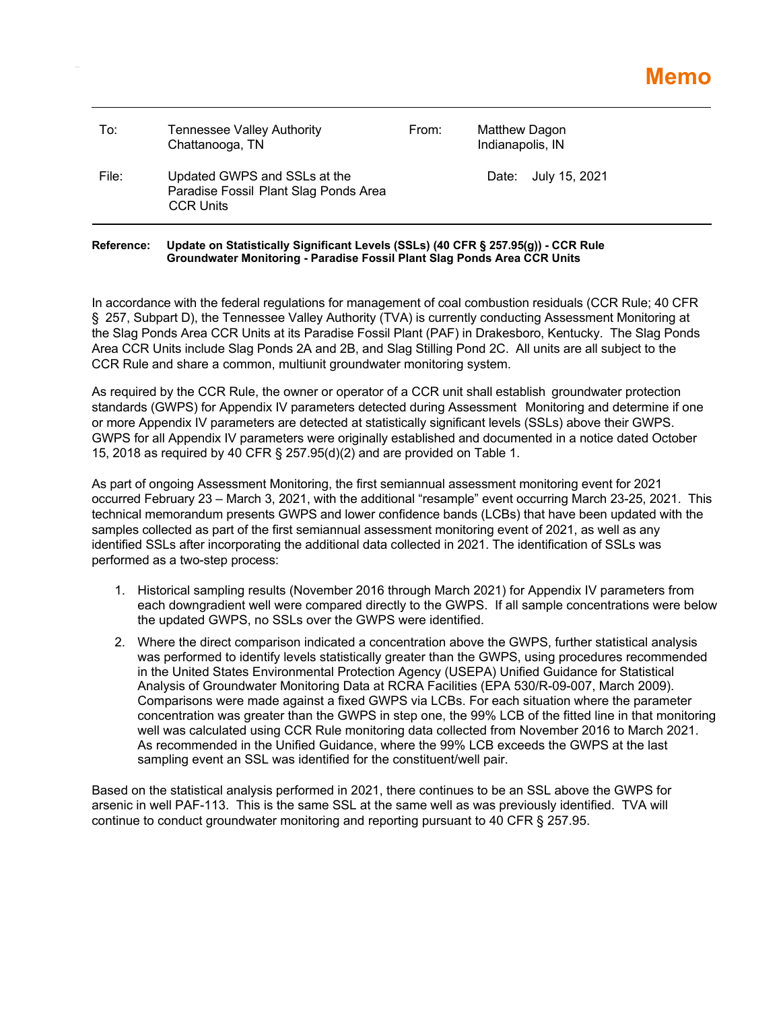| To:   | <b>Tennessee Valley Authority</b><br>Chattanooga, TN                                      | From: | Matthew Dagon<br>Indianapolis, IN |  |
|-------|-------------------------------------------------------------------------------------------|-------|-----------------------------------|--|
| File: | Updated GWPS and SSLs at the<br>Paradise Fossil Plant Slag Ponds Area<br><b>CCR Units</b> |       | Date: July 15, 2021               |  |

## **Reference: Update on Statistically Significant Levels (SSLs) (40 CFR § 257.95(g)) - CCR Rule Groundwater Monitoring - Paradise Fossil Plant Slag Ponds Area CCR Units**

In accordance with the federal regulations for management of coal combustion residuals (CCR Rule; 40 CFR § 257, Subpart D), the Tennessee Valley Authority (TVA) is currently conducting Assessment Monitoring at the Slag Ponds Area CCR Units at its Paradise Fossil Plant (PAF) in Drakesboro, Kentucky. The Slag Ponds Area CCR Units include Slag Ponds 2A and 2B, and Slag Stilling Pond 2C. All units are all subject to the CCR Rule and share a common, multiunit groundwater monitoring system.

As required by the CCR Rule, the owner or operator of a CCR unit shall establish groundwater protection standards (GWPS) for Appendix IV parameters detected during Assessment Monitoring and determine if one or more Appendix IV parameters are detected at statistically significant levels (SSLs) above their GWPS. GWPS for all Appendix IV parameters were originally established and documented in a notice dated October 15, 2018 as required by 40 CFR § 257.95(d)(2) and are provided on Table 1.

As part of ongoing Assessment Monitoring, the first semiannual assessment monitoring event for 2021 occurred February 23 – March 3, 2021, with the additional "resample" event occurring March 23-25, 2021. This technical memorandum presents GWPS and lower confidence bands (LCBs) that have been updated with the samples collected as part of the first semiannual assessment monitoring event of 2021, as well as any identified SSLs after incorporating the additional data collected in 2021. The identification of SSLs was performed as a two-step process:

- 1. Historical sampling results (November 2016 through March 2021) for Appendix IV parameters from each downgradient well were compared directly to the GWPS. If all sample concentrations were below the updated GWPS, no SSLs over the GWPS were identified.
- 2. Where the direct comparison indicated a concentration above the GWPS, further statistical analysis was performed to identify levels statistically greater than the GWPS, using procedures recommended in the United States Environmental Protection Agency (USEPA) Unified Guidance for Statistical Analysis of Groundwater Monitoring Data at RCRA Facilities (EPA 530/R-09-007, March 2009). Comparisons were made against a fixed GWPS via LCBs. For each situation where the parameter concentration was greater than the GWPS in step one, the 99% LCB of the fitted line in that monitoring well was calculated using CCR Rule monitoring data collected from November 2016 to March 2021. As recommended in the Unified Guidance, where the 99% LCB exceeds the GWPS at the last sampling event an SSL was identified for the constituent/well pair.

Based on the statistical analysis performed in 2021, there continues to be an SSL above the GWPS for arsenic in well PAF-113. This is the same SSL at the same well as was previously identified. TVA will continue to conduct groundwater monitoring and reporting pursuant to 40 CFR § 257.95.